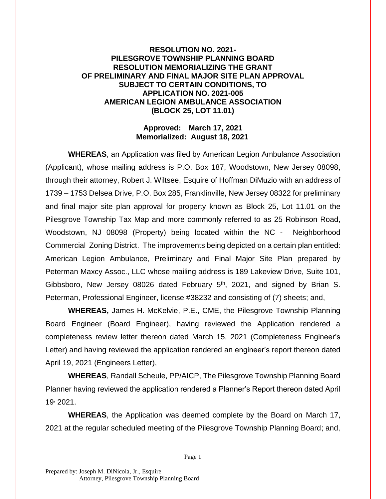## **RESOLUTION NO. 2021- PILESGROVE TOWNSHIP PLANNING BOARD RESOLUTION MEMORIALIZING THE GRANT OF PRELIMINARY AND FINAL MAJOR SITE PLAN APPROVAL SUBJECT TO CERTAIN CONDITIONS, TO APPLICATION NO. 2021-005 AMERICAN LEGION AMBULANCE ASSOCIATION (BLOCK 25, LOT 11.01)**

## **Approved: March 17, 2021 Memorialized: August 18, 2021**

**WHEREAS**, an Application was filed by American Legion Ambulance Association (Applicant), whose mailing address is P.O. Box 187, Woodstown, New Jersey 08098, through their attorney, Robert J. Wiltsee, Esquire of Hoffman DiMuzio with an address of 1739 – 1753 Delsea Drive, P.O. Box 285, Franklinville, New Jersey 08322 for preliminary and final major site plan approval for property known as Block 25, Lot 11.01 on the Pilesgrove Township Tax Map and more commonly referred to as 25 Robinson Road, Woodstown, NJ 08098 (Property) being located within the NC - Neighborhood Commercial Zoning District. The improvements being depicted on a certain plan entitled: American Legion Ambulance, Preliminary and Final Major Site Plan prepared by Peterman Maxcy Assoc., LLC whose mailing address is 189 Lakeview Drive, Suite 101, Gibbsboro, New Jersey 08026 dated February  $5<sup>th</sup>$ , 2021, and signed by Brian S. Peterman, Professional Engineer, license #38232 and consisting of (7) sheets; and,

**WHEREAS,** James H. McKelvie, P.E., CME, the Pilesgrove Township Planning Board Engineer (Board Engineer), having reviewed the Application rendered a completeness review letter thereon dated March 15, 2021 (Completeness Engineer's Letter) and having reviewed the application rendered an engineer's report thereon dated April 19, 2021 (Engineers Letter),

**WHEREAS**, Randall Scheule, PP/AICP, The Pilesgrove Township Planning Board Planner having reviewed the application rendered a Planner's Report thereon dated April 19, 2021.

**WHEREAS**, the Application was deemed complete by the Board on March 17, 2021 at the regular scheduled meeting of the Pilesgrove Township Planning Board; and,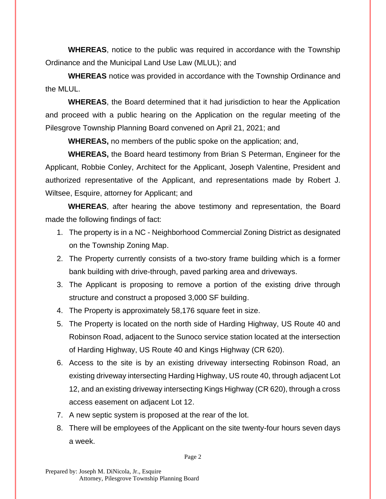**WHEREAS**, notice to the public was required in accordance with the Township Ordinance and the Municipal Land Use Law (MLUL); and

**WHEREAS** notice was provided in accordance with the Township Ordinance and the MLUL.

**WHEREAS**, the Board determined that it had jurisdiction to hear the Application and proceed with a public hearing on the Application on the regular meeting of the Pilesgrove Township Planning Board convened on April 21, 2021; and

**WHEREAS,** no members of the public spoke on the application; and,

**WHEREAS,** the Board heard testimony from Brian S Peterman, Engineer for the Applicant, Robbie Conley, Architect for the Applicant, Joseph Valentine, President and authorized representative of the Applicant, and representations made by Robert J. Wiltsee, Esquire, attorney for Applicant; and

**WHEREAS**, after hearing the above testimony and representation, the Board made the following findings of fact:

- 1. The property is in a NC Neighborhood Commercial Zoning District as designated on the Township Zoning Map.
- 2. The Property currently consists of a two-story frame building which is a former bank building with drive-through, paved parking area and driveways.
- 3. The Applicant is proposing to remove a portion of the existing drive through structure and construct a proposed 3,000 SF building.
- 4. The Property is approximately 58,176 square feet in size.
- 5. The Property is located on the north side of Harding Highway, US Route 40 and Robinson Road, adjacent to the Sunoco service station located at the intersection of Harding Highway, US Route 40 and Kings Highway (CR 620).
- 6. Access to the site is by an existing driveway intersecting Robinson Road, an existing driveway intersecting Harding Highway, US route 40, through adjacent Lot 12, and an existing driveway intersecting Kings Highway (CR 620), through a cross access easement on adjacent Lot 12.
- 7. A new septic system is proposed at the rear of the lot.
- 8. There will be employees of the Applicant on the site twenty-four hours seven days a week.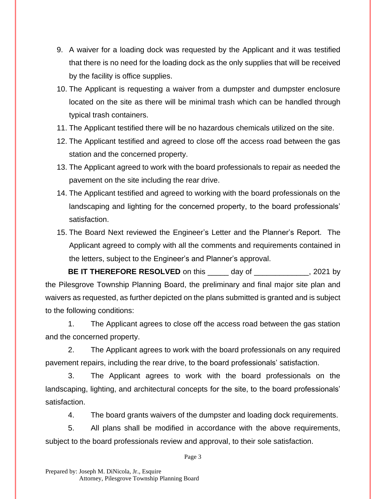- 9. A waiver for a loading dock was requested by the Applicant and it was testified that there is no need for the loading dock as the only supplies that will be received by the facility is office supplies.
- 10. The Applicant is requesting a waiver from a dumpster and dumpster enclosure located on the site as there will be minimal trash which can be handled through typical trash containers.
- 11. The Applicant testified there will be no hazardous chemicals utilized on the site.
- 12. The Applicant testified and agreed to close off the access road between the gas station and the concerned property.
- 13. The Applicant agreed to work with the board professionals to repair as needed the pavement on the site including the rear drive.
- 14. The Applicant testified and agreed to working with the board professionals on the landscaping and lighting for the concerned property, to the board professionals' satisfaction.
- 15. The Board Next reviewed the Engineer's Letter and the Planner's Report. The Applicant agreed to comply with all the comments and requirements contained in the letters, subject to the Engineer's and Planner's approval.

**BE IT THEREFORE RESOLVED** on this \_\_\_\_\_ day of \_\_\_\_\_\_\_\_\_\_\_\_, 2021 by the Pilesgrove Township Planning Board, the preliminary and final major site plan and waivers as requested, as further depicted on the plans submitted is granted and is subject to the following conditions:

1. The Applicant agrees to close off the access road between the gas station and the concerned property.

2. The Applicant agrees to work with the board professionals on any required pavement repairs, including the rear drive, to the board professionals' satisfaction.

3. The Applicant agrees to work with the board professionals on the landscaping, lighting, and architectural concepts for the site, to the board professionals' satisfaction.

4. The board grants waivers of the dumpster and loading dock requirements.

5. All plans shall be modified in accordance with the above requirements, subject to the board professionals review and approval, to their sole satisfaction.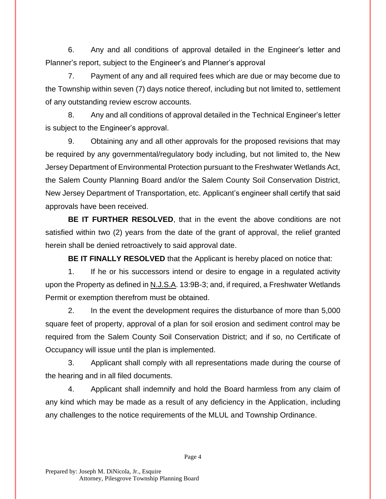6. Any and all conditions of approval detailed in the Engineer's letter and Planner's report, subject to the Engineer's and Planner's approval

7. Payment of any and all required fees which are due or may become due to the Township within seven (7) days notice thereof, including but not limited to, settlement of any outstanding review escrow accounts.

8. Any and all conditions of approval detailed in the Technical Engineer's letter is subject to the Engineer's approval.

9. Obtaining any and all other approvals for the proposed revisions that may be required by any governmental/regulatory body including, but not limited to, the New Jersey Department of Environmental Protection pursuant to the Freshwater Wetlands Act, the Salem County Planning Board and/or the Salem County Soil Conservation District, New Jersey Department of Transportation, etc. Applicant's engineer shall certify that said approvals have been received.

**BE IT FURTHER RESOLVED**, that in the event the above conditions are not satisfied within two (2) years from the date of the grant of approval, the relief granted herein shall be denied retroactively to said approval date.

**BE IT FINALLY RESOLVED** that the Applicant is hereby placed on notice that:

1. If he or his successors intend or desire to engage in a regulated activity upon the Property as defined in N.J.S.A. 13:9B-3; and, if required, a Freshwater Wetlands Permit or exemption therefrom must be obtained.

2. In the event the development requires the disturbance of more than 5,000 square feet of property, approval of a plan for soil erosion and sediment control may be required from the Salem County Soil Conservation District; and if so, no Certificate of Occupancy will issue until the plan is implemented.

3. Applicant shall comply with all representations made during the course of the hearing and in all filed documents.

4. Applicant shall indemnify and hold the Board harmless from any claim of any kind which may be made as a result of any deficiency in the Application, including any challenges to the notice requirements of the MLUL and Township Ordinance.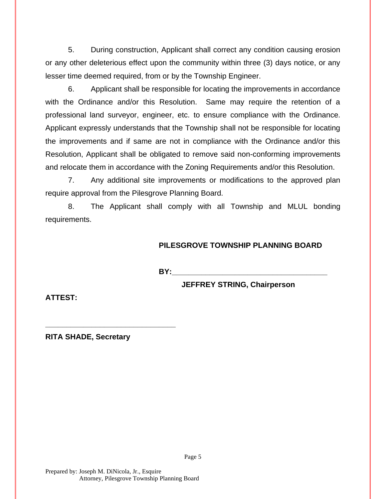5. During construction, Applicant shall correct any condition causing erosion or any other deleterious effect upon the community within three (3) days notice, or any lesser time deemed required, from or by the Township Engineer.

6. Applicant shall be responsible for locating the improvements in accordance with the Ordinance and/or this Resolution. Same may require the retention of a professional land surveyor, engineer, etc. to ensure compliance with the Ordinance. Applicant expressly understands that the Township shall not be responsible for locating the improvements and if same are not in compliance with the Ordinance and/or this Resolution, Applicant shall be obligated to remove said non-conforming improvements and relocate them in accordance with the Zoning Requirements and/or this Resolution.

7. Any additional site improvements or modifications to the approved plan require approval from the Pilesgrove Planning Board.

8. The Applicant shall comply with all Township and MLUL bonding requirements.

## **PILESGROVE TOWNSHIP PLANNING BOARD**

**BY:** 

**JEFFREY STRING, Chairperson**

**ATTEST:**

**RITA SHADE, Secretary**

**\_\_\_\_\_\_\_\_\_\_\_\_\_\_\_\_\_\_\_\_\_\_\_\_\_\_\_\_\_\_\_**